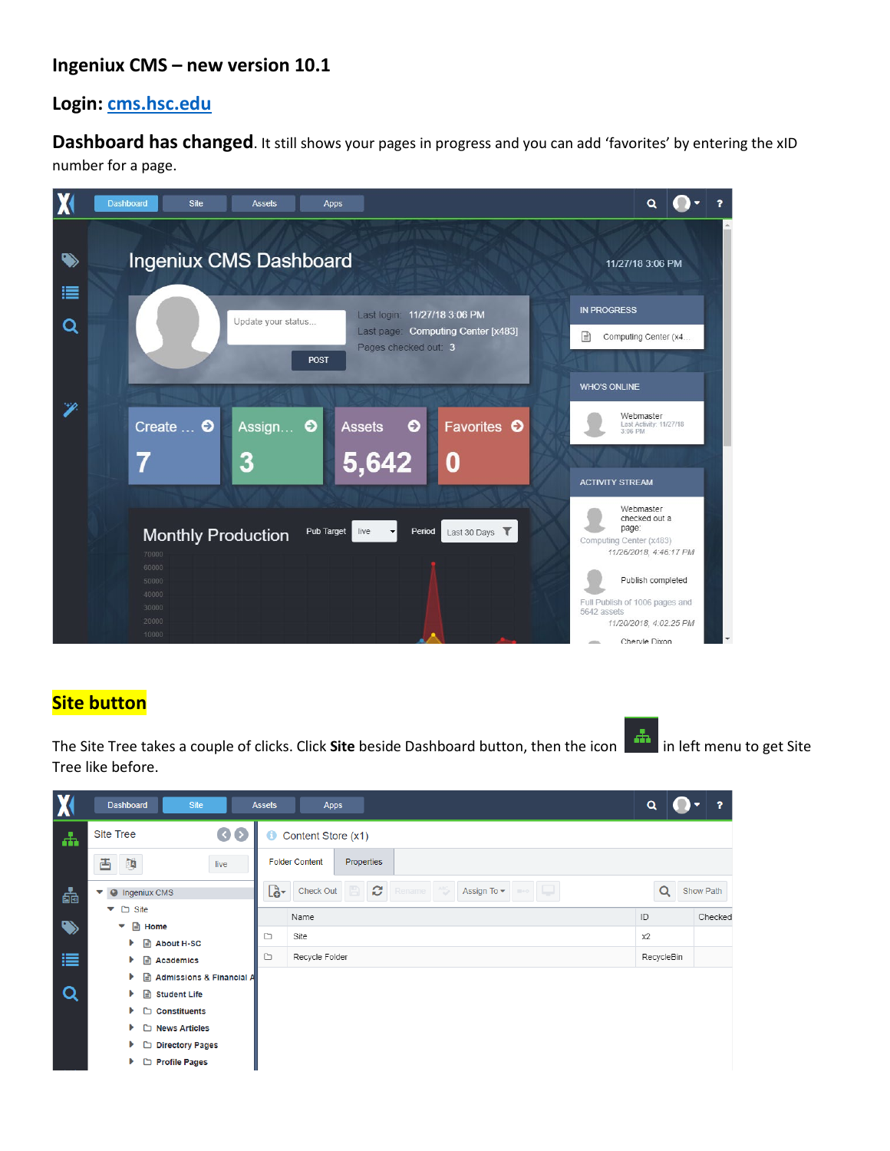## **Ingeniux CMS – new version 10.1**

## **Login: [cms.hsc.edu](http://cms.hsc.edu/)**

**Dashboard has changed**. It still shows your pages in progress and you can add 'favorites' by entering the xID number for a page.



## **Site button**

The Site Tree takes a couple of clicks. Click **Site** beside Dashboard button, then the icon **in the limit of the fit menu to get Site** Tree like before.

| X         | Dashboard<br>Site                              | <b>Assets</b><br><b>Apps</b>                                                                                   | $\alpha$<br>,            |
|-----------|------------------------------------------------|----------------------------------------------------------------------------------------------------------------|--------------------------|
| ሐ         | $\odot$<br><b>Site Tree</b>                    | Content Store (x1)<br>Θ                                                                                        |                          |
|           | 凸 函<br>live                                    | <b>Folder Content</b><br>Properties                                                                            |                          |
| 츪         | <b>Ingeniux CMS</b><br>$\bullet$               | Ø<br>Lò-<br>Check Out<br>Assign To $\blacktriangleright$<br>Rename<br>ABS<br>43<br>$\mathbb{R}$ . $\mathbb{R}$ | $\alpha$<br>Show Path    |
|           | □ Site<br>▼                                    | Name                                                                                                           | $\mathsf{ID}$<br>Checked |
| $\bullet$ | <b>■</b> Home<br>$\checkmark$                  |                                                                                                                |                          |
|           | $\mathbf{r}$<br><b>About H-SC</b><br>Þ         | Ò<br>Site                                                                                                      | x2                       |
| 這         | ⊟<br><b>Academics</b><br>Þ                     | Ò<br>Recycle Folder                                                                                            | RecycleBin               |
|           | <b>Admissions &amp; Financial A</b><br>n<br>Þ. |                                                                                                                |                          |
| Q         | $\mathbf{r}$<br>Þ<br><b>Student Life</b>       |                                                                                                                |                          |
|           | ◘<br><b>Constituents</b><br>Þ.                 |                                                                                                                |                          |
|           | ▶<br>◘<br><b>News Articles</b>                 |                                                                                                                |                          |
|           | D Directory Pages<br>Þ.                        |                                                                                                                |                          |
|           | ▶<br><b>Profile Pages</b><br>D                 |                                                                                                                |                          |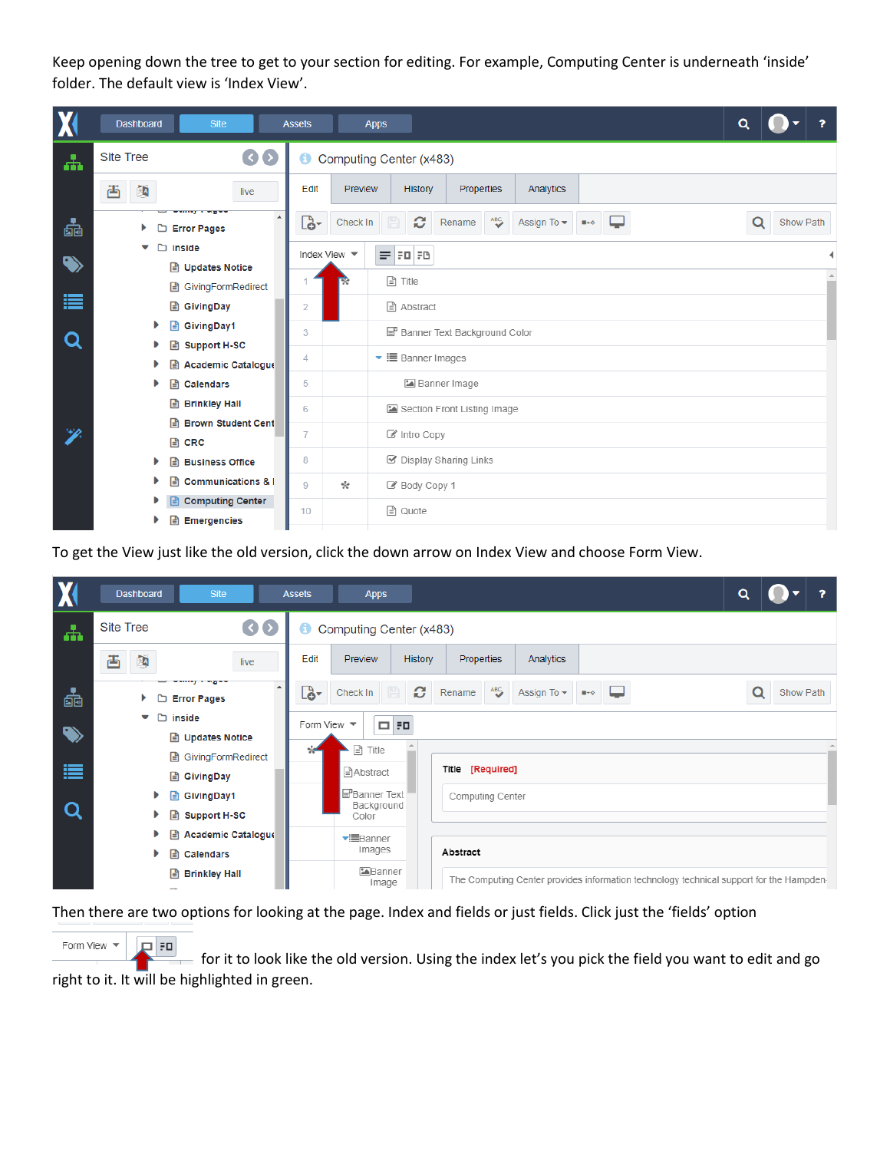Keep opening down the tree to get to your section for editing. For example, Computing Center is underneath 'inside' folder. The default view is 'Index View'.

| X         | Dashboard<br>Site                                   | <b>Assets</b><br><b>Apps</b>                                                                   | $\alpha$<br>,  |
|-----------|-----------------------------------------------------|------------------------------------------------------------------------------------------------|----------------|
| 击         | $\odot$<br><b>Site Tree</b>                         | Θ<br>Computing Center (x483)                                                                   |                |
|           | 國<br>酉<br>live                                      | Edit<br>Preview<br>Properties<br>History<br>Analytics                                          |                |
| 츫         | *****************************<br><b>Error Pages</b> | O<br>ABC<br>Lò-<br>Check In<br>Assign To $\blacktriangleright$<br>Rename<br>$\blacksquare$ + 0 | Show Path<br>Q |
| $\bullet$ | inside<br>⊡<br>▼<br><b>■ Updates Notice</b>         | Index View $\blacktriangledown$<br>$=$ $F1F1F2$                                                |                |
| 這         | GivingFormRedirect<br>囼                             | $\exists$ Title                                                                                |                |
|           | ⊟<br>GivingDay                                      | Abstract<br>2                                                                                  |                |
|           | GivingDay1<br>₽                                     | Banner Text Background Color<br>3                                                              |                |
| Q         | <b>Support H-SC</b>                                 |                                                                                                |                |
|           | <b>Academic Catalogue</b>                           | $\blacktriangleright$ $\equiv$ Banner Images<br>4                                              |                |
|           | Ռ<br><b>Calendars</b><br>Þ                          | Banner Image<br>5                                                                              |                |
|           | ⊟<br><b>Brinkley Hall</b>                           | Section Front Listing Image<br>6                                                               |                |
|           | 目<br><b>Brown Student Cent</b>                      |                                                                                                |                |
|           | 目<br>CRC                                            | 7<br>■ Intro Copy                                                                              |                |
|           | Ռ<br><b>Business Office</b><br>ь                    | ☑ Display Sharing Links<br>8                                                                   |                |
|           | <b>Communications &amp; I</b><br>Ռ                  | ☆<br>9<br>Body Copy 1                                                                          |                |
|           | <b>Computing Center</b>                             | । Quote<br>10                                                                                  |                |
|           | <b>Emergencies</b><br>凷                             |                                                                                                |                |

To get the View just like the old version, click the down arrow on Index View and choose Form View.



Then there are two options for looking at the page. Index and fields or just fields. Click just the 'fields' option

Form View  $\sqrt{*}$ **PER**  for it to look like the old version. Using the index let's you pick the field you want to edit and go right to it. It will be highlighted in green.